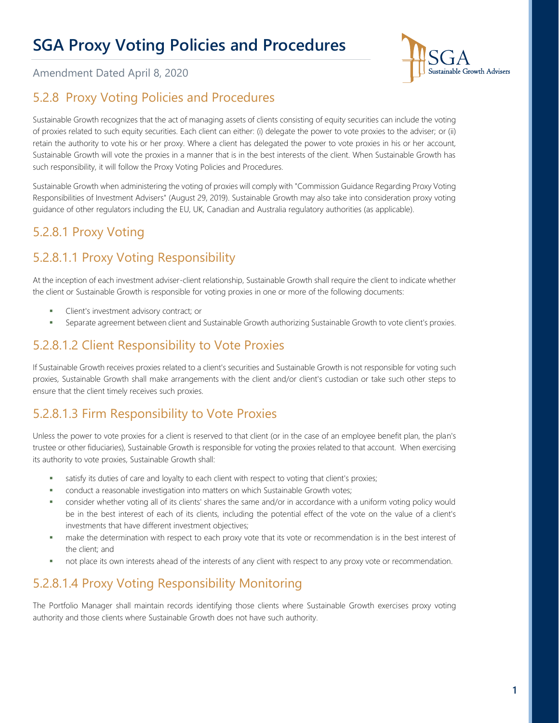

Amendment Dated April 8, 2020

### 5.2.8 Proxy Voting Policies and Procedures

Sustainable Growth recognizes that the act of managing assets of clients consisting of equity securities can include the voting of proxies related to such equity securities. Each client can either: (i) delegate the power to vote proxies to the adviser; or (ii) retain the authority to vote his or her proxy. Where a client has delegated the power to vote proxies in his or her account, Sustainable Growth will vote the proxies in a manner that is in the best interests of the client. When Sustainable Growth has such responsibility, it will follow the Proxy Voting Policies and Procedures.

Sustainable Growth when administering the voting of proxies will comply with "Commission Guidance Regarding Proxy Voting Responsibilities of Investment Advisers" (August 29, 2019). Sustainable Growth may also take into consideration proxy voting guidance of other regulators including the EU, UK, Canadian and Australia regulatory authorities (as applicable).

# 5.2.8.1 Proxy Voting

# 5.2.8.1.1 Proxy Voting Responsibility

At the inception of each investment adviser-client relationship, Sustainable Growth shall require the client to indicate whether the client or Sustainable Growth is responsible for voting proxies in one or more of the following documents:

- Client's investment advisory contract; or
- Separate agreement between client and Sustainable Growth authorizing Sustainable Growth to vote client's proxies.

#### 5.2.8.1.2 Client Responsibility to Vote Proxies

If Sustainable Growth receives proxies related to a client's securities and Sustainable Growth is not responsible for voting such proxies, Sustainable Growth shall make arrangements with the client and/or client's custodian or take such other steps to ensure that the client timely receives such proxies.

#### 5.2.8.1.3 Firm Responsibility to Vote Proxies

Unless the power to vote proxies for a client is reserved to that client (or in the case of an employee benefit plan, the plan's trustee or other fiduciaries), Sustainable Growth is responsible for voting the proxies related to that account. When exercising its authority to vote proxies, Sustainable Growth shall:

- satisfy its duties of care and loyalty to each client with respect to voting that client's proxies;
- conduct a reasonable investigation into matters on which Sustainable Growth votes;
- consider whether voting all of its clients' shares the same and/or in accordance with a uniform voting policy would be in the best interest of each of its clients, including the potential effect of the vote on the value of a client's investments that have different investment objectives;
- make the determination with respect to each proxy vote that its vote or recommendation is in the best interest of the client; and
- not place its own interests ahead of the interests of any client with respect to any proxy vote or recommendation.

### 5.2.8.1.4 Proxy Voting Responsibility Monitoring

The Portfolio Manager shall maintain records identifying those clients where Sustainable Growth exercises proxy voting authority and those clients where Sustainable Growth does not have such authority.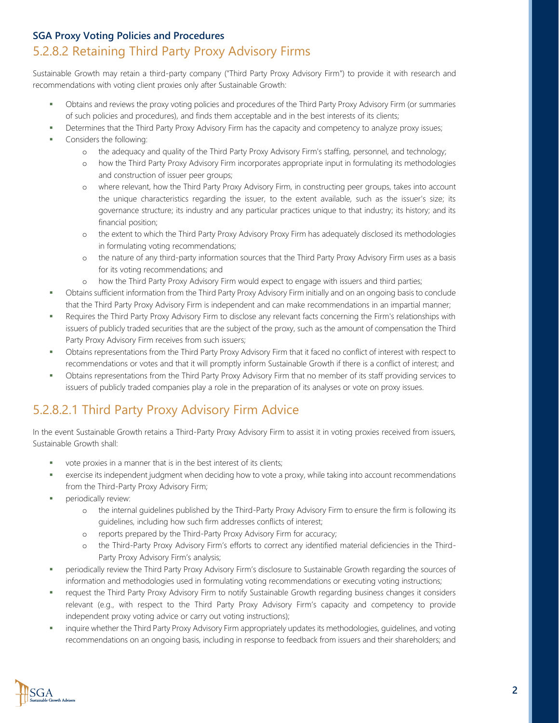#### 5.2.8.2 Retaining Third Party Proxy Advisory Firms

Sustainable Growth may retain a third-party company ("Third Party Proxy Advisory Firm") to provide it with research and recommendations with voting client proxies only after Sustainable Growth:

- Obtains and reviews the proxy voting policies and procedures of the Third Party Proxy Advisory Firm (or summaries of such policies and procedures), and finds them acceptable and in the best interests of its clients;
- Determines that the Third Party Proxy Advisory Firm has the capacity and competency to analyze proxy issues;
- Considers the following:
	- o the adequacy and quality of the Third Party Proxy Advisory Firm's staffing, personnel, and technology;
	- o how the Third Party Proxy Advisory Firm incorporates appropriate input in formulating its methodologies and construction of issuer peer groups;
	- o where relevant, how the Third Party Proxy Advisory Firm, in constructing peer groups, takes into account the unique characteristics regarding the issuer, to the extent available, such as the issuer's size; its governance structure; its industry and any particular practices unique to that industry; its history; and its financial position;
	- o the extent to which the Third Party Proxy Advisory Proxy Firm has adequately disclosed its methodologies in formulating voting recommendations;
	- o the nature of any third-party information sources that the Third Party Proxy Advisory Firm uses as a basis for its voting recommendations; and
	- o how the Third Party Proxy Advisory Firm would expect to engage with issuers and third parties;
- Obtains sufficient information from the Third Party Proxy Advisory Firm initially and on an ongoing basis to conclude that the Third Party Proxy Advisory Firm is independent and can make recommendations in an impartial manner;
- Requires the Third Party Proxy Advisory Firm to disclose any relevant facts concerning the Firm's relationships with issuers of publicly traded securities that are the subject of the proxy, such as the amount of compensation the Third Party Proxy Advisory Firm receives from such issuers;
- Obtains representations from the Third Party Proxy Advisory Firm that it faced no conflict of interest with respect to recommendations or votes and that it will promptly inform Sustainable Growth if there is a conflict of interest; and
- Obtains representations from the Third Party Proxy Advisory Firm that no member of its staff providing services to issuers of publicly traded companies play a role in the preparation of its analyses or vote on proxy issues.

### 5.2.8.2.1 Third Party Proxy Advisory Firm Advice

In the event Sustainable Growth retains a Third-Party Proxy Advisory Firm to assist it in voting proxies received from issuers, Sustainable Growth shall:

- vote proxies in a manner that is in the best interest of its clients;
- exercise its independent judgment when deciding how to vote a proxy, while taking into account recommendations from the Third-Party Proxy Advisory Firm;
- periodically review:
	- o the internal guidelines published by the Third-Party Proxy Advisory Firm to ensure the firm is following its guidelines, including how such firm addresses conflicts of interest;
	- o reports prepared by the Third-Party Proxy Advisory Firm for accuracy;
	- o the Third-Party Proxy Advisory Firm's efforts to correct any identified material deficiencies in the Third-Party Proxy Advisory Firm's analysis;
- periodically review the Third Party Proxy Advisory Firm's disclosure to Sustainable Growth regarding the sources of information and methodologies used in formulating voting recommendations or executing voting instructions;
- request the Third Party Proxy Advisory Firm to notify Sustainable Growth regarding business changes it considers relevant (e.g., with respect to the Third Party Proxy Advisory Firm's capacity and competency to provide independent proxy voting advice or carry out voting instructions);
- inquire whether the Third Party Proxy Advisory Firm appropriately updates its methodologies, guidelines, and voting recommendations on an ongoing basis, including in response to feedback from issuers and their shareholders; and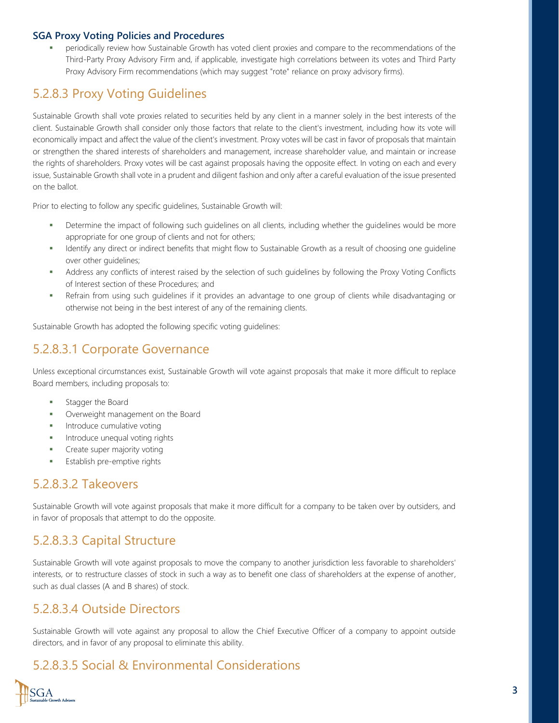periodically review how Sustainable Growth has voted client proxies and compare to the recommendations of the Third-Party Proxy Advisory Firm and, if applicable, investigate high correlations between its votes and Third Party Proxy Advisory Firm recommendations (which may suggest "rote" reliance on proxy advisory firms).

### 5.2.8.3 Proxy Voting Guidelines

Sustainable Growth shall vote proxies related to securities held by any client in a manner solely in the best interests of the client. Sustainable Growth shall consider only those factors that relate to the client's investment, including how its vote will economically impact and affect the value of the client's investment. Proxy votes will be cast in favor of proposals that maintain or strengthen the shared interests of shareholders and management, increase shareholder value, and maintain or increase the rights of shareholders. Proxy votes will be cast against proposals having the opposite effect. In voting on each and every issue, Sustainable Growth shall vote in a prudent and diligent fashion and only after a careful evaluation of the issue presented on the ballot.

Prior to electing to follow any specific guidelines, Sustainable Growth will:

- Determine the impact of following such guidelines on all clients, including whether the guidelines would be more appropriate for one group of clients and not for others;
- Identify any direct or indirect benefits that might flow to Sustainable Growth as a result of choosing one guideline over other guidelines;
- Address any conflicts of interest raised by the selection of such guidelines by following the Proxy Voting Conflicts of Interest section of these Procedures; and
- Refrain from using such guidelines if it provides an advantage to one group of clients while disadvantaging or otherwise not being in the best interest of any of the remaining clients.

Sustainable Growth has adopted the following specific voting guidelines:

#### 5.2.8.3.1 Corporate Governance

Unless exceptional circumstances exist, Sustainable Growth will vote against proposals that make it more difficult to replace Board members, including proposals to:

- Stagger the Board
- Overweight management on the Board
- Introduce cumulative voting
- Introduce unequal voting rights
- Create super majority voting
- Establish pre-emptive rights

#### 5.2.8.3.2 Takeovers

Sustainable Growth will vote against proposals that make it more difficult for a company to be taken over by outsiders, and in favor of proposals that attempt to do the opposite.

#### 5.2.8.3.3 Capital Structure

Sustainable Growth will vote against proposals to move the company to another jurisdiction less favorable to shareholders' interests, or to restructure classes of stock in such a way as to benefit one class of shareholders at the expense of another, such as dual classes (A and B shares) of stock.

#### 5.2.8.3.4 Outside Directors

Sustainable Growth will vote against any proposal to allow the Chief Executive Officer of a company to appoint outside directors, and in favor of any proposal to eliminate this ability.

#### 5.2.8.3.5 Social & Environmental Considerations